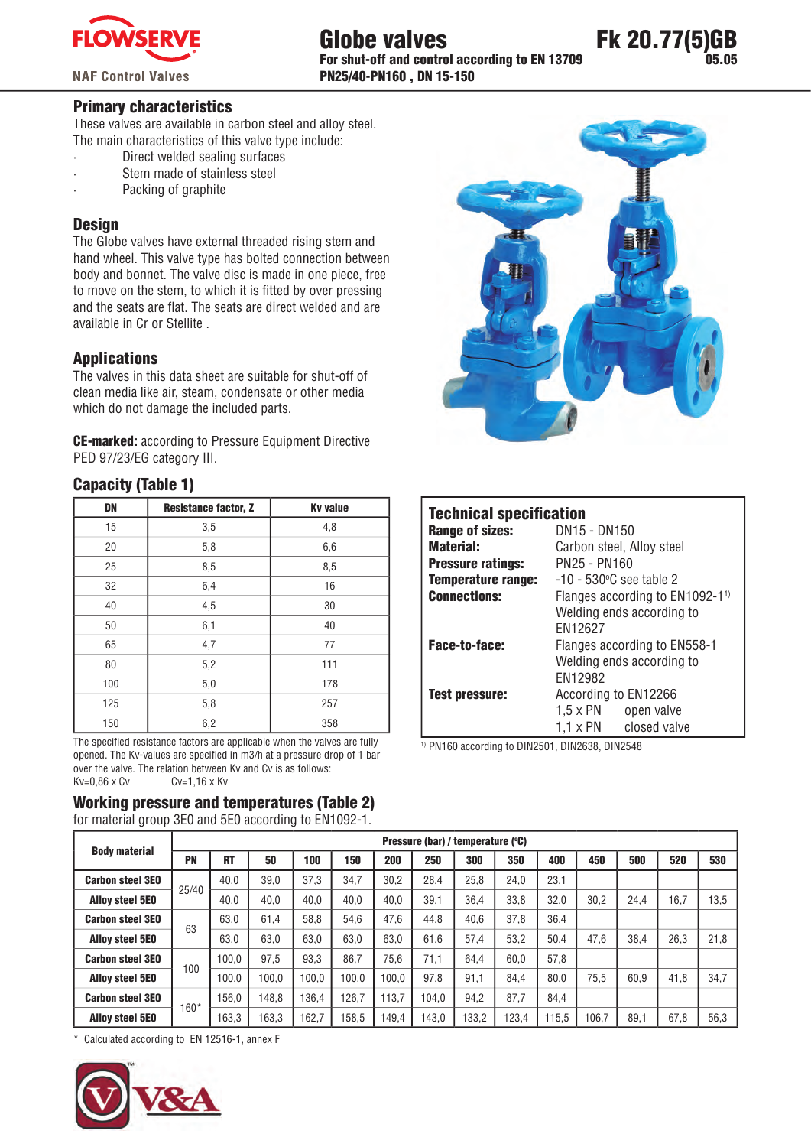

**NAF Control Valves** 

### Globe valves For shut-off and control according to EN 13709 PN25/40-PN160 , DN 15-150



### Primary characteristics

These valves are available in carbon steel and alloy steel. The main characteristics of this valve type include:

- · Direct welded sealing surfaces
- Stem made of stainless steel
- Packing of graphite

### **Design**

The Globe valves have external threaded rising stem and hand wheel. This valve type has bolted connection between body and bonnet. The valve disc is made in one piece, free to move on the stem, to which it is fitted by over pressing and the seats are flat. The seats are direct welded and are available in Cr or Stellite.

### Applications

The valves in this data sheet are suitable for shut-off of clean media like air, steam, condensate or other media which do not damage the included parts.

CE-marked: according to Pressure Equipment Directive PED 97/23/EG category III.

### Capacity (Table 1)

| <b>DN</b> | <b>Resistance factor, Z</b> | <b>Kv</b> value |
|-----------|-----------------------------|-----------------|
| 15        | 3,5                         | 4,8             |
| 20        | 5,8                         | 6,6             |
| 25        | 8,5                         | 8,5             |
| 32        | 6,4                         | 16              |
| 40        | 4,5                         | 30              |
| 50        | 6,1                         | 40              |
| 65        | 4,7                         | 77              |
| 80        | 5,2                         | 111             |
| 100       | 5,0                         | 178             |
| 125       | 5,8                         | 257             |
| 150       | 6,2                         | 358             |

The specified resistance factors are applicable when the valves are fully opened. The Ky-values are specified in m3/h at a pressure drop of 1 bar over the valve. The relation between Kv and Cv is as follows:<br> $Kv=0.86 \times Cv$   $Cv=1.16 \times Kv$  $Cv=1,16 \times Kv$ 

## Working pressure and temperatures (Table 2)

for material group 3E0 and 5E0 according to EN1092-1.



| <b>Technical specification</b> |                                               |  |  |  |  |  |  |
|--------------------------------|-----------------------------------------------|--|--|--|--|--|--|
| <b>Range of sizes:</b>         | DN15 - DN150                                  |  |  |  |  |  |  |
| <b>Material:</b>               | Carbon steel, Alloy steel                     |  |  |  |  |  |  |
| <b>Pressure ratings:</b>       | PN25 - PN160                                  |  |  |  |  |  |  |
| <b>Temperature range:</b>      | $-10 - 530$ °C see table 2                    |  |  |  |  |  |  |
| <b>Connections:</b>            | Flanges according to $EN1092-1$ <sup>1)</sup> |  |  |  |  |  |  |
|                                | Welding ends according to                     |  |  |  |  |  |  |
|                                | EN12627                                       |  |  |  |  |  |  |
| Face-to-face:                  | Flanges according to EN558-1                  |  |  |  |  |  |  |
|                                | Welding ends according to                     |  |  |  |  |  |  |
|                                | EN12982                                       |  |  |  |  |  |  |
| <b>Test pressure:</b>          | According to EN12266                          |  |  |  |  |  |  |
|                                | $1.5 \times PN$ open valve                    |  |  |  |  |  |  |
|                                | 1.1 x PN closed valve                         |  |  |  |  |  |  |

1) PN160 according to DIN2501, DIN2638, DIN2548

|                         |        | Pressure (bar) / temperature (°C) |       |       |       |       |       |       |       |       |       |      |      |      |
|-------------------------|--------|-----------------------------------|-------|-------|-------|-------|-------|-------|-------|-------|-------|------|------|------|
| <b>Body material</b>    | PN     | <b>RT</b>                         | 50    | 100   | 150   | 200   | 250   | 300   | 350   | 400   | 450   | 500  | 520  | 530  |
| <b>Carbon steel 3E0</b> | 25/40  | 40.0                              | 39.0  | 37.3  | 34.7  | 30.2  | 28.4  | 25.8  | 24.0  | 23.1  |       |      |      |      |
| <b>Alloy steel 5E0</b>  |        | 40.0                              | 40.0  | 40.0  | 40.0  | 40.0  | 39,1  | 36.4  | 33.8  | 32.0  | 30.2  | 24.4 | 16.7 | 13,5 |
| <b>Carbon steel 3E0</b> | 63     | 63.0                              | 61.4  | 58.8  | 54.6  | 47.6  | 44.8  | 40.6  | 37.8  | 36.4  |       |      |      |      |
| <b>Alloy steel 5E0</b>  |        | 63.0                              | 63.0  | 63.0  | 63.0  | 63.0  | 61.6  | 57.4  | 53.2  | 50.4  | 47.6  | 38.4 | 26.3 | 21.8 |
| <b>Carbon steel 3E0</b> | 100    | 100.0                             | 97.5  | 93.3  | 86.7  | 75.6  | 71.1  | 64.4  | 60.0  | 57.8  |       |      |      |      |
| <b>Alloy steel 5E0</b>  |        | 100.0                             | 100.0 | 100.0 | 100.0 | 100.0 | 97.8  | 91.1  | 84.4  | 80.0  | 75.5  | 60.9 | 41.8 | 34,7 |
| <b>Carbon steel 3E0</b> | $160*$ | 156.0                             | 148.8 | 136.4 | 126.7 | 113.7 | 104.0 | 94.2  | 87.7  | 84.4  |       |      |      |      |
| <b>Alloy steel 5E0</b>  |        | 163,3                             | 163,3 | 162.7 | 158.5 | 149.4 | 143.0 | 133.2 | 123,4 | 115.5 | 106.7 | 89.1 | 67,8 | 56,3 |

\* Calculated according to EN 12516-1, annex F

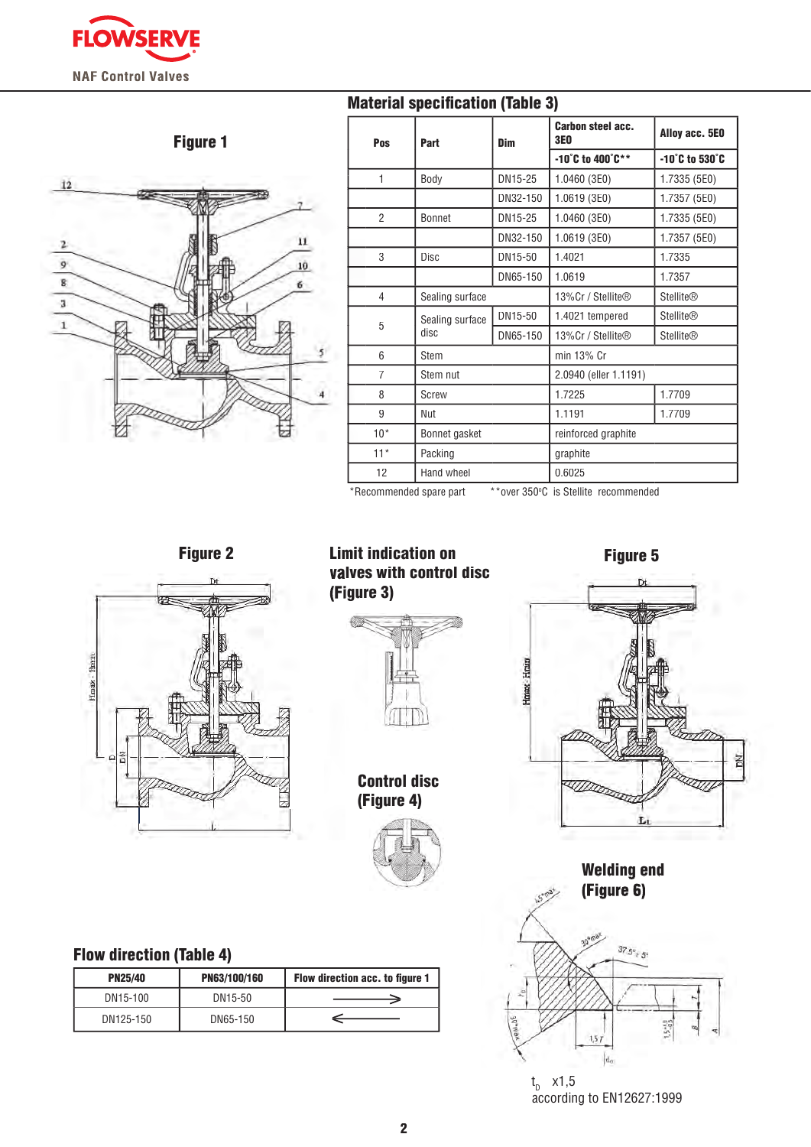**FLOWSERVE NAF Control Valves** 



## **Material specification (Table 3)**

| Pos                     | Part            | Dim      | <b>Carbon steel acc.</b><br><b>3E0</b>  | Alloy acc. 5E0                      |  |  |  |  |  |
|-------------------------|-----------------|----------|-----------------------------------------|-------------------------------------|--|--|--|--|--|
|                         |                 |          | $-10^{\circ}$ C to 400 $^{\circ}$ C * * | $-10^{\circ}$ C to 530 $^{\circ}$ C |  |  |  |  |  |
| 1                       | Body<br>DN15-25 |          | 1.0460 (3E0)                            | 1.7335 (5E0)                        |  |  |  |  |  |
|                         |                 | DN32-150 | 1.0619 (3E0)                            | 1.7357 (5E0)                        |  |  |  |  |  |
| $\overline{2}$          | <b>Bonnet</b>   | DN15-25  | 1.0460 (3E0)                            | 1.7335 (5E0)                        |  |  |  |  |  |
|                         |                 | DN32-150 | 1.0619 (3E0)                            | 1.7357 (5E0)                        |  |  |  |  |  |
| 3                       | Disc            | DN15-50  | 1.4021                                  | 1.7335                              |  |  |  |  |  |
|                         |                 | DN65-150 | 1.0619                                  | 1.7357                              |  |  |  |  |  |
| $\overline{4}$          | Sealing surface |          | 13%Cr / Stellite®                       | <b>Stellite®</b>                    |  |  |  |  |  |
| 5                       | Sealing surface | DN15-50  | 1.4021 tempered                         | <b>Stellite®</b>                    |  |  |  |  |  |
|                         | disc            | DN65-150 | 13%Cr / Stellite®                       | <b>Stellite®</b>                    |  |  |  |  |  |
| 6                       | Stem            |          | min 13% Cr                              |                                     |  |  |  |  |  |
| $\overline{7}$          | Stem nut        |          | 2.0940 (eller 1.1191)                   |                                     |  |  |  |  |  |
| 8                       | Screw           |          | 1.7225                                  | 1.7709                              |  |  |  |  |  |
| 9                       | Nut             |          | 1.1191                                  | 1.7709                              |  |  |  |  |  |
| $10*$                   | Bonnet gasket   |          | reinforced graphite                     |                                     |  |  |  |  |  |
| $11*$                   | Packing         |          | graphite                                |                                     |  |  |  |  |  |
| 12                      | Hand wheel      |          | 0.6025                                  |                                     |  |  |  |  |  |
| *Recommended spare part |                 |          | **over 350°C is Stellite recommended    |                                     |  |  |  |  |  |

**Intex** Himi



Figure 2 **Example 2 Constructed Example 2 Figure 5** valves with control disc (Figure 3)



Control disc (Figure 4)



Flow direction (Table 4)

| <b>PN25/40</b> | PN63/100/160 | Flow direction acc. to figure 1 |
|----------------|--------------|---------------------------------|
| DN15-100       | DN15-50      |                                 |
| DN125-150      | DN65-150     |                                 |

t<sub>p</sub> x1,5 according to EN12627:1999

 $15 -$ 

Welding end (Figure 6)

 $37.5^{\circ}$  + 5<sup>1</sup>

Ł

š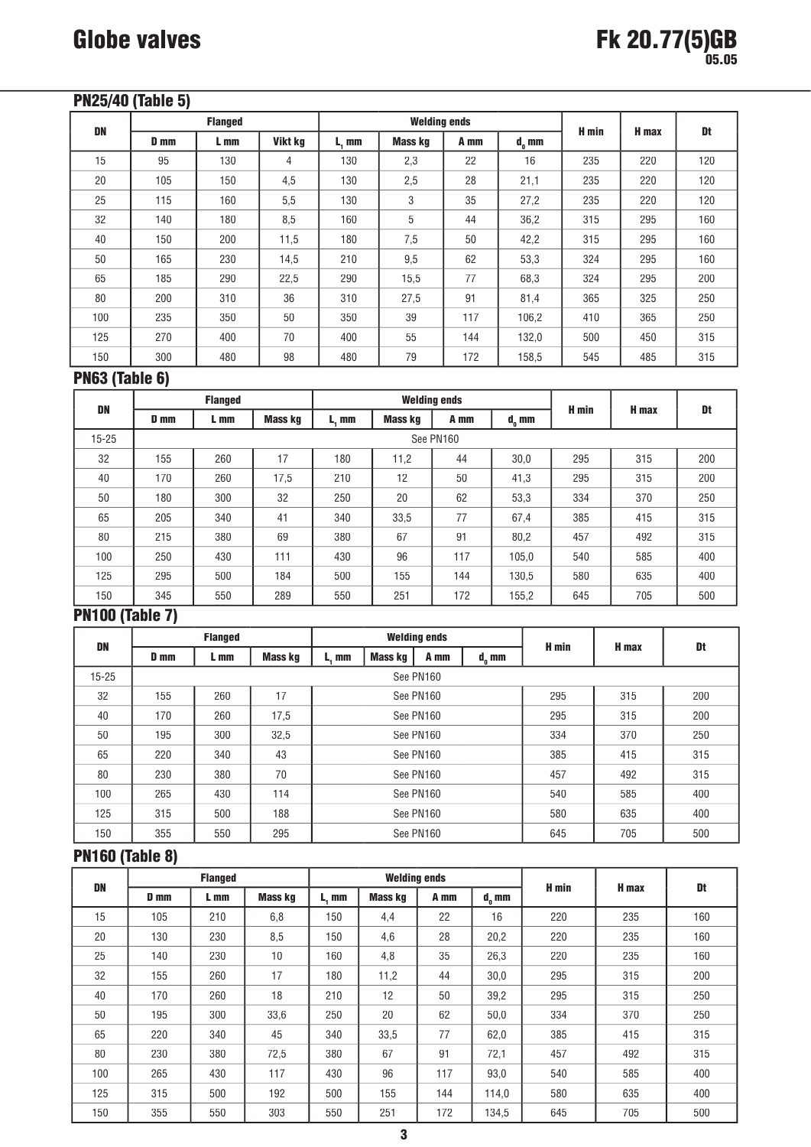# PN25/40 (Table 5)

|           |             | <b>Flanged</b> |         |       | <b>Welding ends</b> |      |            |       | H max | Dt  |
|-----------|-------------|----------------|---------|-------|---------------------|------|------------|-------|-------|-----|
| <b>DN</b> | <b>D</b> mm | L mm           | Vikt kg | L, mm | Mass kg             | A mm | $d_{n}$ mm | H min |       |     |
| 15        | 95          | 130            | 4       | 130   | 2,3                 | 22   | 16         | 235   | 220   | 120 |
| 20        | 105         | 150            | 4,5     | 130   | 2,5                 | 28   | 21,1       | 235   | 220   | 120 |
| 25        | 115         | 160            | 5,5     | 130   | 3                   | 35   | 27.2       | 235   | 220   | 120 |
| 32        | 140         | 180            | 8,5     | 160   | 5                   | 44   | 36,2       | 315   | 295   | 160 |
| 40        | 150         | 200            | 11,5    | 180   | 7,5                 | 50   | 42,2       | 315   | 295   | 160 |
| 50        | 165         | 230            | 14,5    | 210   | 9,5                 | 62   | 53,3       | 324   | 295   | 160 |
| 65        | 185         | 290            | 22.5    | 290   | 15,5                | 77   | 68,3       | 324   | 295   | 200 |
| 80        | 200         | 310            | 36      | 310   | 27,5                | 91   | 81,4       | 365   | 325   | 250 |
| 100       | 235         | 350            | 50      | 350   | 39                  | 117  | 106,2      | 410   | 365   | 250 |
| 125       | 270         | 400            | 70      | 400   | 55                  | 144  | 132,0      | 500   | 450   | 315 |
| 150       | 300         | 480            | 98      | 480   | 79                  | 172  | 158,5      | 545   | 485   | 315 |

# PN63 (Table 6)

| DN        | <b>Flanged</b> |      |         |       | <b>Welding ends</b> |           | H min      | H max | Dt  |     |
|-----------|----------------|------|---------|-------|---------------------|-----------|------------|-------|-----|-----|
|           | D mm           | L mm | Mass kg | L. mm | Mass kg             | A mm      | $d_{n}$ mm |       |     |     |
| $15 - 25$ |                |      |         |       |                     | See PN160 |            |       |     |     |
| 32        | 155            | 260  | 17      | 180   | 11,2                | 44        | 30,0       | 295   | 315 | 200 |
| 40        | 170            | 260  | 17,5    | 210   | 12                  | 50        | 41,3       | 295   | 315 | 200 |
| 50        | 180            | 300  | 32      | 250   | 20                  | 62        | 53,3       | 334   | 370 | 250 |
| 65        | 205            | 340  | 41      | 340   | 33,5                | 77        | 67,4       | 385   | 415 | 315 |
| 80        | 215            | 380  | 69      | 380   | 67                  | 91        | 80,2       | 457   | 492 | 315 |
| 100       | 250            | 430  | 111     | 430   | 96                  | 117       | 105,0      | 540   | 585 | 400 |
| 125       | 295            | 500  | 184     | 500   | 155                 | 144       | 130,5      | 580   | 635 | 400 |
| 150       | 345            | 550  | 289     | 550   | 251                 | 172       | 155,2      | 645   | 705 | 500 |

# PN100 (Table 7)

| DN        | <b>Flanged</b> |      |         |           | <b>Welding ends</b> |           |            |       | H max | Dt  |
|-----------|----------------|------|---------|-----------|---------------------|-----------|------------|-------|-------|-----|
|           | D mm           | L mm | Mass kg | L, mm     | Mass kg             | A mm      | $d_{n}$ mm | H min |       |     |
| $15 - 25$ |                |      |         |           |                     | See PN160 |            |       |       |     |
| 32        | 155            | 260  | 17      | See PN160 |                     |           | 295        | 315   | 200   |     |
| 40        | 170            | 260  | 17,5    | See PN160 |                     |           | 295        | 315   | 200   |     |
| 50        | 195            | 300  | 32,5    | See PN160 |                     |           | 334        | 370   | 250   |     |
| 65        | 220            | 340  | 43      |           |                     | See PN160 |            | 385   | 415   | 315 |
| 80        | 230            | 380  | 70      |           |                     | See PN160 |            | 457   | 492   | 315 |
| 100       | 265            | 430  | 114     | See PN160 |                     |           | 540        | 585   | 400   |     |
| 125       | 315            | 500  | 188     | See PN160 |                     | 580       | 635        | 400   |       |     |
| 150       | 355            | 550  | 295     |           |                     | See PN160 |            | 645   | 705   | 500 |

# PN160 (Table 8)

|     | <b>Flanged</b> |      |                | <b>Welding ends</b> |                |      |                |       | H max | Dt  |
|-----|----------------|------|----------------|---------------------|----------------|------|----------------|-------|-------|-----|
| DN  | <b>D</b> mm    | L mm | <b>Mass kg</b> | L. mm               | <b>Mass kg</b> | A mm | $d_{\rm o}$ mm | H min |       |     |
| 15  | 105            | 210  | 6,8            | 150                 | 4,4            | 22   | 16             | 220   | 235   | 160 |
| 20  | 130            | 230  | 8,5            | 150                 | 4,6            | 28   | 20,2           | 220   | 235   | 160 |
| 25  | 140            | 230  | 10             | 160                 | 4,8            | 35   | 26,3           | 220   | 235   | 160 |
| 32  | 155            | 260  | 17             | 180                 | 11,2           | 44   | 30.0           | 295   | 315   | 200 |
| 40  | 170            | 260  | 18             | 210                 | 12             | 50   | 39,2           | 295   | 315   | 250 |
| 50  | 195            | 300  | 33,6           | 250                 | 20             | 62   | 50,0           | 334   | 370   | 250 |
| 65  | 220            | 340  | 45             | 340                 | 33,5           | 77   | 62,0           | 385   | 415   | 315 |
| 80  | 230            | 380  | 72,5           | 380                 | 67             | 91   | 72,1           | 457   | 492   | 315 |
| 100 | 265            | 430  | 117            | 430                 | 96             | 117  | 93,0           | 540   | 585   | 400 |
| 125 | 315            | 500  | 192            | 500                 | 155            | 144  | 114,0          | 580   | 635   | 400 |
| 150 | 355            | 550  | 303            | 550                 | 251            | 172  | 134,5          | 645   | 705   | 500 |